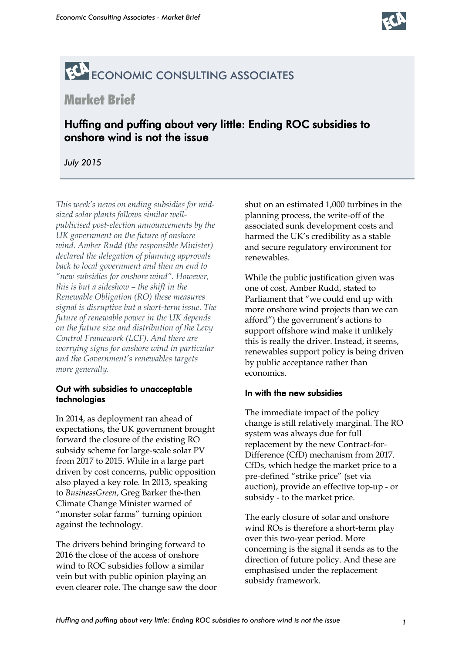

# ECONOMIC CONSULTING ASSOCIATES

## Market Brief

### Huffing and puffing about very little: Ending ROC subsidies to onshore wind is not the issue

*July 2015*

*This week's news on ending subsidies for midsized solar plants follows similar wellpublicised post-election announcements by the UK government on the future of onshore wind. Amber Rudd (the responsible Minister) declared the delegation of planning approvals back to local government and then an end to "new subsidies for onshore wind". However, this is but a sideshow – the shift in the Renewable Obligation (RO) these measures signal is disruptive but a short-term issue. The future of renewable power in the UK depends on the future size and distribution of the Levy Control Framework (LCF). And there are worrying signs for onshore wind in particular and the Government's renewables targets more generally.*

#### Out with subsidies to unacceptable technologies

In 2014, as deployment ran ahead of expectations, the UK government brought forward the closure of the existing RO subsidy scheme for large-scale solar PV from 2017 to 2015. While in a large part driven by cost concerns, public opposition also played a key role. In 2013, speaking to *BusinessGreen*, Greg Barker the-then Climate Change Minister warned of "monster solar farms" turning opinion against the technology.

The drivers behind bringing forward to 2016 the close of the access of onshore wind to ROC subsidies follow a similar vein but with public opinion playing an even clearer role. The change saw the door shut on an estimated 1,000 turbines in the planning process, the write-off of the associated sunk development costs and harmed the UK's credibility as a stable and secure regulatory environment for renewables.

While the public justification given was one of cost, Amber Rudd, stated to Parliament that "we could end up with more onshore wind projects than we can afford") the government's actions to support offshore wind make it unlikely this is really the driver. Instead, it seems, renewables support policy is being driven by public acceptance rather than economics.

#### In with the new subsidies

The immediate impact of the policy change is still relatively marginal. The RO system was always due for full replacement by the new Contract-for-Difference (CfD) mechanism from 2017. CfDs, which hedge the market price to a pre-defined "strike price" (set via auction), provide an effective top-up - or subsidy - to the market price.

The early closure of solar and onshore wind ROs is therefore a short-term play over this two-year period. More concerning is the signal it sends as to the direction of future policy. And these are emphasised under the replacement subsidy framework.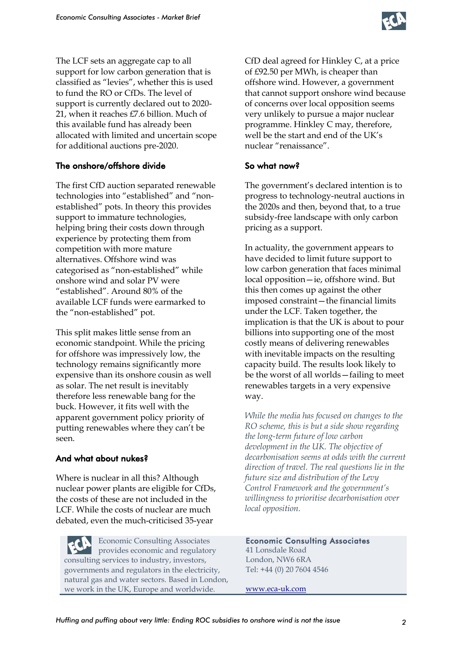

The LCF sets an aggregate cap to all support for low carbon generation that is classified as "levies", whether this is used to fund the RO or CfDs. The level of support is currently declared out to 2020- 21, when it reaches £7.6 billion. Much of this available fund has already been allocated with limited and uncertain scope for additional auctions pre-2020.

#### The onshore/offshore divide

The first CfD auction separated renewable technologies into "established" and "nonestablished" pots. In theory this provides support to immature technologies, helping bring their costs down through experience by protecting them from competition with more mature alternatives. Offshore wind was categorised as "non-established" while onshore wind and solar PV were "established". Around 80% of the available LCF funds were earmarked to the "non-established" pot.

This split makes little sense from an economic standpoint. While the pricing for offshore was impressively low, the technology remains significantly more expensive than its onshore cousin as well as solar. The net result is inevitably therefore less renewable bang for the buck. However, it fits well with the apparent government policy priority of putting renewables where they can't be seen.

#### And what about nukes?

Where is nuclear in all this? Although nuclear power plants are eligible for CfDs, the costs of these are not included in the LCF. While the costs of nuclear are much debated, even the much-criticised 35-year

Economic Consulting Associates provides economic and regulatory consulting services to industry, investors, governments and regulators in the electricity, natural gas and water sectors. Based in London, we work in the UK, Europe and worldwide.

CfD deal agreed for Hinkley C, at a price of £92.50 per MWh, is cheaper than offshore wind. However, a government that cannot support onshore wind because of concerns over local opposition seems very unlikely to pursue a major nuclear programme. Hinkley C may, therefore, well be the start and end of the UK's nuclear "renaissance".

#### So what now?

The government's declared intention is to progress to technology-neutral auctions in the 2020s and then, beyond that, to a true subsidy-free landscape with only carbon pricing as a support.

In actuality, the government appears to have decided to limit future support to low carbon generation that faces minimal local opposition—ie, offshore wind. But this then comes up against the other imposed constraint—the financial limits under the LCF. Taken together, the implication is that the UK is about to pour billions into supporting one of the most costly means of delivering renewables with inevitable impacts on the resulting capacity build. The results look likely to be the worst of all worlds—failing to meet renewables targets in a very expensive way.

*While the media has focused on changes to the RO scheme, this is but a side show regarding the long-term future of low carbon development in the UK. The objective of decarbonisation seems at odds with the current direction of travel. The real questions lie in the future size and distribution of the Levy Control Framework and the government's willingness to prioritise decarbonisation over local opposition.* 

Economic Consulting Associates 41 Lonsdale Road London, NW6 6RA Tel: +44 (0) 20 7604 4546

www.eca-uk.com